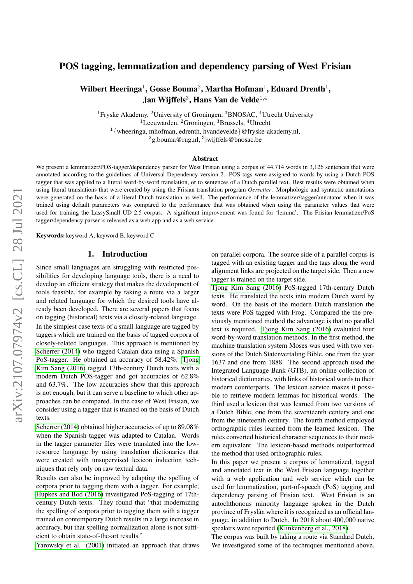# POS tagging, lemmatization and dependency parsing of West Frisian

Wilbert Heeringa<sup>1</sup>, Gosse Bouma<sup>2</sup>, Martha Hofman<sup>1</sup>, Eduard Drenth<sup>1</sup>, Jan Wijffels $^3$ , Hans Van de Velde $^{1,4}$ 

<sup>1</sup>Fryske Akademy, <sup>2</sup>University of Groningen, <sup>3</sup>BNOSAC, <sup>4</sup>Utrecht University <sup>1</sup>Leeuwarden, <sup>2</sup>Groningen, <sup>3</sup>Brussels, <sup>4</sup>Utrecht  $1$ {wheeringa, mhofman, edrenth, hvandevelde}@fryske-akademy.nl, <sup>2</sup>g.bouma@rug.nl, <sup>3</sup>jwijffels@bnosac.be

#### Abstract

We present a lemmatizer/POS-tagger/dependency parser for West Frisian using a corpus of 44,714 words in 3,126 sentences that were annotated according to the guidelines of Universal Dependency version 2. POS tags were assigned to words by using a Dutch POS tagger that was applied to a literal word-by-word translation, or to sentences of a Dutch parallel text. Best results were obtained when using literal translations that were created by using the Frisian translation program *Oersetter*. Morphologic and syntactic annotations were generated on the basis of a literal Dutch translation as well. The performance of the lemmatizer/tagger/annotator when it was trained using default parameters was compared to the performance that was obtained when using the parameter values that were used for training the LassySmall UD 2.5 corpus. A significant improvement was found for 'lemma'. The Frisian lemmatizer/PoS tagger/dependency parser is released as a web app and as a web service.

Keywords: keyword A, keyword B, keyword C

### 1. Introduction

Since small languages are struggling with restricted possibilities for developing language tools, there is a need to develop an efficient strategy that makes the development of tools feasible, for example by taking a route via a larger and related language for which the desired tools have already been developed. There are several papers that focus on tagging (historical) texts via a closely-related language. In the simplest case texts of a small language are tagged by taggers which are trained on the basis of tagged corpora of closely-related languages. This approach is mentioned by [Scherrer \(2014\)](#page-5-0) who tagged Catalan data using a Spanish PoS-tagger. He obtained an accuracy of 58.42%. [Tjong](#page-5-1) [Kim Sang \(2016\)](#page-5-1) tagged 17th-century Dutch texts with a modern Dutch POS-tagger and got accuracies of 62.8% and 63.7%. The low accuracies show that this approach is not enough, but it can serve a baseline to which other approaches can be compared. In the case of West Frisian, we consider using a tagger that is trained on the basis of Dutch texts.

[Scherrer \(2014\)](#page-5-0) obtained higher accuracies of up to 89.08% when the Spanish tagger was adapted to Catalan. Words in the tagger parameter files were translated into the lowresource language by using translation dictionaries that were created with unsupervised lexicon induction techniques that rely only on raw textual data.

Results can also be improved by adapting the spelling of corpora prior to tagging them with a tagger. For example, [Hupkes and Bod \(2016\)](#page-5-2) investigated PoS-tagging of 17thcentury Dutch texts. They found that "that modernizing the spelling of corpora prior to tagging them with a tagger trained on contemporary Dutch results in a large increase in accuracy, but that spelling normalization alone is not sufficient to obtain state-of-the-art results."

[Yarowsky et al. \(2001\)](#page-5-3) initiated an approach that draws

on parallel corpora. The source side of a parallel corpus is tagged with an existing tagger and the tags along the word alignment links are projected on the target side. Then a new tagger is trained on the target side.

[Tjong Kim Sang \(2016\)](#page-5-1) PoS-tagged 17th-century Dutch texts. He translated the texts into modern Dutch word by word. On the basis of the modern Dutch translation the texts were PoS tagged with Frog. Compared the the previously mentioned method the advantage is that no parallel text is required. [Tjong Kim Sang \(2016\)](#page-5-1) evaluated four word-by-word translation methods. In the first method, the machine translation system Moses was used with two versions of the Dutch Statenvertaling Bible, one from the year 1637 and one from 1888. The second approach used the Integrated Language Bank (GTB), an online collection of historical dictionaries, with links of historical words to their modern counterparts. The lexicon service makes it possible to retrieve modern lemmas for historical words. The third used a lexicon that was learned from two versions of a Dutch Bible, one from the seventeenth century and one from the nineteenth century. The fourth method employed orthographic rules learned from the learned lexicon. The rules converted historical character sequences to their modern equivalent. The lexicon-based methods outperformed the method that used orthographic rules.

In this paper we present a corpus of lemmatized, tagged and annotated text in the West Frisian language together with a web application and web service which can be used for lemmatization, part-of-speech (PoS) tagging and dependency parsing of Frisian text. West Frisian is an autochthonous minority language spoken in the Dutch province of Fryslân where it is recognized as an official language, in addition to Dutch. In 2018 about 400,000 native speakers were reported [\(Klinkenberg et al., 2018\)](#page-5-4).

The corpus was built by taking a route via Standard Dutch. We investigated some of the techniques mentioned above.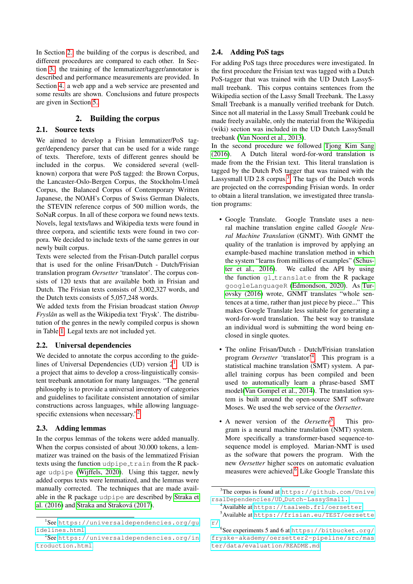In Section [2.](#page-1-0) the building of the corpus is described, and different procedures are compared to each other. In Section [3.](#page-2-0) the training of the lemmatizer/tagger/annotator is described and performance measurements are provided. In Section [4.](#page-3-0) a web app and a web service are presented and some results are shown. Conclusions and future prospects are given in Section [5..](#page-4-0)

# 2. Building the corpus

### <span id="page-1-0"></span>2.1. Source texts

We aimed to develop a Frisian lemmatizer/PoS tagger/dependency parser that can be used for a wide range of texts. Therefore, texts of different genres should be included in the corpus. We considered several (wellknown) corpora that were PoS tagged: the Brown Corpus, the Lancaster-Oslo-Bergen Corpus, the Stockholm-Umeå Corpus, the Balanced Corpus of Contemporary Written Japanese, the NOAH's Corpus of Swiss German Dialects, the STEVIN reference corpus of 500 million words, the SoNaR corpus. In all of these corpora we found news texts. Novels, legal texts/laws and Wikipedia texts were found in three corpora, and scientific texts were found in two corpora. We decided to include texts of the same genres in our newly built corpus.

Texts were selected from the Frisan-Dutch parallel corpus that is used for the online Frisan/Dutch - Dutch/Frisian translation program *Oersetter* 'translator'. The corpus consists of 120 texts that are available both in Frisian and Dutch. The Frisian texts consists of 3,002,327 words, and the Dutch texts consists of 5,057,248 words.

We added texts from the Frisian broadcast station *Omrop Fryslân* as well as the Wikipedia text 'Frysk'. The distributution of the genres in the newly compiled corpus is shown in Table [1.](#page-2-1) Legal texts are not included yet.

## 2.2. Universal dependencies

We decided to annotate the corpus according to the guidelines of Universal Dependencies (UD) version  $2^1$  $2^1$ . UD is a project that aims to develop a cross-linguistically consistent treebank annotation for many languages. "The general philosophy is to provide a universal inventory of categories and guidelines to facilitate consistent annotation of similar constructions across languages, while allowing language-specific extensions when necessary."<sup>[2](#page-1-2)</sup>

### 2.3. Adding lemmas

In the corpus lemmas of the tokens were added manually. When the corpus consisted of about 30.000 tokens, a lemmatizer was trained on the basis of the lemmatized Frisian texts using the function udpipe\_train from the R package udpipe [\(Wijffels, 2020\)](#page-5-5). Using this tagger, newly added corpus texts were lemmatized, and the lemmas were manually corrected. The techniques that are made available in the R package udpipe are described by [Straka et](#page-5-6) [al. \(2016\)](#page-5-6) and Straka and Straková (2017).

## 2.4. Adding PoS tags

For adding PoS tags three procedures were investigated. In the first procedure the Frisian text was tagged with a Dutch PoS-tagger that was trained with the UD Dutch LassySmall treebank. This corpus contains sentences from the Wikipedia section of the Lassy Small Treebank. The Lassy Small Treebank is a manually verified treebank for Dutch. Since not all material in the Lassy Small Treebank could be made freely available, only the material from the Wikipedia (wiki) section was included in the UD Dutch LassySmall treebank [\(Van Noord et al., 2013\)](#page-5-8).

In the second procedure we followed [Tjong Kim Sang](#page-5-1) [\(2016\)](#page-5-1). A Dutch literal word-for-word translation is made from the the Frisian text. This literal translation is tagged by the Dutch PoS tagger that was trained with the Lassysmall UD 2.8 corpus.<sup>[3](#page-1-3)</sup> The tags of the Dutch words are projected on the corresponding Frisian words. In order to obtain a literal translation, we investigated three translation programs:

- Google Translate. Google Translate uses a neural machine translation engine called *Google Neural Machine Translation* (GNMT). With GNMT the quality of the tranlation is improved by applying an example-based machine translation method in which the system "learns from millions of examples" [\(Schus](#page-5-9)[ter et al., 2016\)](#page-5-9). We called the API by using the function  $q$ l<sub>translate</sub> from the R package googleLanguageR [\(Edmondson, 2020\)](#page-5-10). As [Tur](#page-5-11)[ovsky \(2016\)](#page-5-11) wrote, GNMT translates "whole sentences at a time, rather than just piece by piece..." This makes Google Translate less suitable for generating a word-for-word translation. The best way to translate an individual word is submitting the word being enclosed in single quotes.
- The online Frisan/Dutch Dutch/Frisian translation program *Oersetter* 'translator'[4](#page-1-4) . This program is a statistical machine translation (SMT) system. A parallel training corpus has been compiled and been used to automatically learn a phrase-based SMT model[\(Van Gompel et al., 2014\)](#page-5-12). The translation system is built around the open-source SMT software Moses. We used the web service of the *Oersetter*.
- A newer version of the *Oersetter*<sup>[5](#page-1-5)</sup>. . This program is a neural machine translation (NMT) system. More specifically a transformer-based sequence-tosequence model is employed. Marian-NMT is used as the sofware that powers the program. With the new *Oersetter* higher scores on automatic evaluation measures were achieved.[6](#page-1-6) Like Google Translate this

<span id="page-1-1"></span><sup>1</sup> See [https://universaldependencies.org/gu](https://universaldependencies.org/guidelines.html) [idelines.html](https://universaldependencies.org/guidelines.html).

<span id="page-1-2"></span><sup>2</sup> See [https://universaldependencies.org/in](https://universaldependencies.org/introduction.html) [troduction.html](https://universaldependencies.org/introduction.html).

<span id="page-1-3"></span><sup>3</sup>The corpus is found at [https://github.com/Unive](https://github.com/Universal Dependencies/UD_Dutch-LassySmall.) [rsalDependencies/UD](https://github.com/Universal Dependencies/UD_Dutch-LassySmall.) Dutch-LassySmall.

<span id="page-1-5"></span><span id="page-1-4"></span><sup>4</sup>Available at <https://taalweb.frl/oersetter>.

<sup>5</sup>Available at [https://frisian.eu/TEST/oersette](https://frisian.eu/TEST/oersetter/) [r/](https://frisian.eu/TEST/oersetter/).

<span id="page-1-6"></span><sup>6</sup> See experiments 5 and 6 at [https://bitbucket.org/](https://bitbucket.org/fryske-akademy/oersetter2-pipeline/src/master/data/evaluation/README.md) [fryske-akademy/oersetter2-pipeline/src/mas](https://bitbucket.org/fryske-akademy/oersetter2-pipeline/src/master/data/evaluation/README.md) [ter/data/evaluation/README.md](https://bitbucket.org/fryske-akademy/oersetter2-pipeline/src/master/data/evaluation/README.md).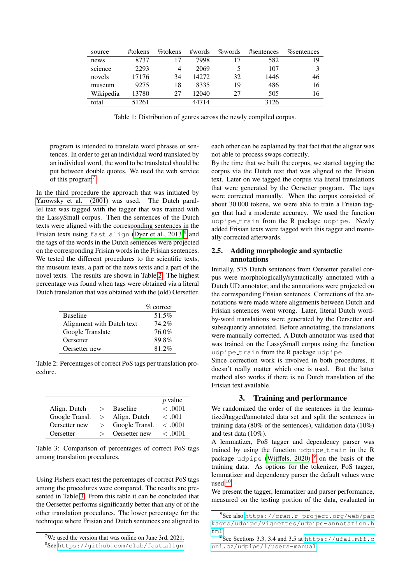| source    | #tokens | %tokens | #words | <i>%</i> words | #sentences | $%$ sentences |
|-----------|---------|---------|--------|----------------|------------|---------------|
| news      | 8737    |         | 7998   |                | 582        | 19            |
| science   | 2293    | 4       | 2069   |                | 107        |               |
| novels    | 17176   | 34      | 142.72 | 32             | 1446       | 46            |
| museum    | 9275    | 18      | 8335   | 19             | 486        | 16            |
| Wikipedia | 13780   | 27      | 12040  | 27             | 505        | 16            |
| total     | 51261   |         | 44714  |                | 3126       |               |

<span id="page-2-1"></span>Table 1: Distribution of genres across the newly compiled corpus.

program is intended to translate word phrases or sentences. In order to get an individual word translated by an individual word, the word to be translated should be put between double quotes. We used the web service of this program[7](#page-2-2)

In the third procedure the approach that was initiated by [Yarowsky et al. \(2001\)](#page-5-3) was used. The Dutch parallel text was tagged with the tagger that was trained with the LassySmall corpus. Then the sentences of the Dutch texts were aligned with the corresponding sentences in the Frisian texts using  $\texttt{fast} \texttt{align}$  (Dyer et al.,  $2013)^8$  $2013)^8$  and the tags of the words in the Dutch sentences were projected on the corresponding Frisian words in the Frisian sentences. We tested the different procedures to the scientific texts, the museum texts, a part of the news texts and a part of the novel texts. The results are shown in Table [2.](#page-2-4) The highest percentage was found when tags were obtained via a literal Dutch translation that was obtained with the (old) Oersetter.

|                           | $\%$ correct |
|---------------------------|--------------|
| <b>Baseline</b>           | 51.5%        |
| Alignment with Dutch text | 74.2%        |
| Google Translate          | 76.0%        |
| Oersetter                 | 89.8%        |
| Oersetter new             | 81.2%        |

<span id="page-2-4"></span>Table 2: Percentages of correct PoS tags per translation procedure.

|                |        |                 | $p$ value    |
|----------------|--------|-----------------|--------------|
| Align. Dutch   | $\geq$ | <b>Baseline</b> | $\leq .0001$ |
| Google Transl. | $\geq$ | Align. Dutch    | <.001        |
| Oersetter new  | $\geq$ | Google Transl.  | < .0001      |
| Oersetter      |        | Oersetter new   | $\leq .0001$ |

<span id="page-2-5"></span>Table 3: Comparison of percentages of correct PoS tags among translation procedures.

Using Fishers exact test the percentages of correct PoS tags among the procedures were compared. The results are presented in Table [3.](#page-2-5) From this table it can be concluded that the Oersetter performs significantly better than any of of the other translation procedures. The lower percentage for the technique where Frisian and Dutch sentences are aligned to each other can be explained by that fact that the aligner was not able to process swaps correctly.

By the time that we built the corpus, we started tagging the corpus via the Dutch text that was aligned to the Frisian text. Later on we tagged the corpus via literal translations that were generated by the Oersetter program. The tags were corrected manually. When the corpus consisted of about 30.000 tokens, we were able to train a Frisian tagger that had a moderate accuracy. We used the function udpipe train from the R package udpipe. Newly added Frisian texts were tagged with this tagger and manually corrected afterwards.

#### 2.5. Adding morphologic and syntactic annotations

Initially, 575 Dutch sentences from Oersetter parallel corpus were morphologically/syntactically annotated with a Dutch UD annotator, and the annotations were projected on the corresponding Frisian sentences. Corrections of the annotations were made where alignments between Dutch and Frisian sentences went wrong. Later, literal Dutch wordby-word translations were generated by the Oersetter and subsequently annotated. Before annotating, the translations were manually corrected. A Dutch annotator was used that was trained on the LassySmall corpus using the function udpipe\_train from the R package udpipe.

Since correction work is involved in both procedures, it doesn't really matter which one is used. But the latter method also works if there is no Dutch translation of the Frisian text available.

### 3. Training and performance

<span id="page-2-0"></span>We randomized the order of the sentences in the lemmatized/tagged/annotated data set and split the sentences in training data (80% of the sentences), validation data (10%) and test data (10%).

A lemmatizer, PoS tagger and dependency parser was trained by using the function udpipe train in the R package udpipe [\(Wijffels, 2020\)](#page-5-5)  $9$  on the basis of the training data. As options for the tokenizer, PoS tagger, lemmatizer and dependency parser the default values were used.[10](#page-2-7)

We present the tagger, lemmatizer and parser performance, measured on the testing portion of the data, evaluated in

<span id="page-2-2"></span><sup>&</sup>lt;sup>7</sup>We used the version that was online on June 3rd, 2021.

<span id="page-2-3"></span><sup>8</sup> See [https://github.com/clab/fast](https://github.com/clab/fast_align) align.

<span id="page-2-6"></span><sup>&</sup>lt;sup>9</sup>See also [https://cran.r-project.org/web/pac](https://cran.r-project.org/web/packages/udpipe/vignettes/udpipe-annotation.html) [kages/udpipe/vignettes/udpipe-annotation.h](https://cran.r-project.org/web/packages/udpipe/vignettes/udpipe-annotation.html) [tml](https://cran.r-project.org/web/packages/udpipe/vignettes/udpipe-annotation.html).

<span id="page-2-7"></span> $10$ See Sections 3.3, 3.4 and 3.5 at [https://ufal.mff.c](https://ufal.mff.cuni.cz/udpipe/1/users-manual) [uni.cz/udpipe/1/users-manual](https://ufal.mff.cuni.cz/udpipe/1/users-manual).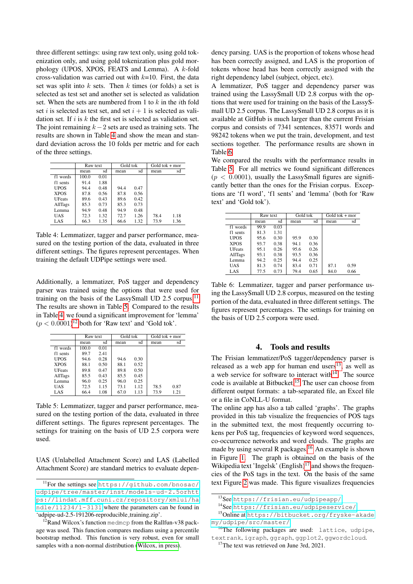three different settings: using raw text only, using gold tokenization only, and using gold tokenization plus gold morphology (UPOS, XPOS, FEATS and Lemma). A k-fold cross-validation was carried out with  $k=10$ . First, the data set was split into  $k$  sets. Then  $k$  times (or folds) a set is selected as test set and another set is selected as validation set. When the sets are numbered from 1 to  $k$  in the *i*th fold set i is selected as test set, and set  $i + 1$  is selected as validation set. If i is k the first set is selected as validation set. The joint remaining  $k-2$  sets are used as training sets. The results are shown in Table [4](#page-3-1) and show the mean and standard deviation across the 10 folds per metric and for each of the three settings.

|               | Raw text |      | Gold tok |      | Gold to $k + mor$ |      |
|---------------|----------|------|----------|------|-------------------|------|
|               | mean     | sd   | mean     | sd   | mean              | sd   |
| f1 words      | 100.0    | 0.01 |          |      |                   |      |
| f1 sents      | 91.4     | 1.88 |          |      |                   |      |
| <b>UPOS</b>   | 94.4     | 0.48 | 94.4     | 0.47 |                   |      |
| <b>XPOS</b>   | 87.8     | 0.56 | 87.8     | 0.56 |                   |      |
| <b>UFeats</b> | 89.6     | 0.43 | 89.6     | 0.42 |                   |      |
| AllTags       | 85.3     | 0.73 | 85.3     | 0.73 |                   |      |
| Lemma         | 94.9     | 0.48 | 94.9     | 0.48 |                   |      |
| UAS           | 72.3     | 1.32 | 72.7     | 1.26 | 78.4              | 1.18 |
| LAS           | 66.3     | 1.35 | 66.6     | 1.32 | 73.9              | 1.36 |

<span id="page-3-1"></span>Table 4: Lemmatizer, tagger and parser performance, measured on the testing portion of the data, evaluated in three different settings. The figures represent percentages. When training the default UDPipe settings were used.

Additionally, a lemmatizer, PoS tagger and dependency parser was trained using the options that were used for training on the basis of the LassySmall UD  $2.5$  corpus.<sup>[11](#page-3-2)</sup> The results are shown in Table [5.](#page-3-3) Compared to the results in Table [4,](#page-3-1) we found a significant improvement for 'lemma'  $(p < 0.0001)^{12}$  $(p < 0.0001)^{12}$  $(p < 0.0001)^{12}$  both for 'Raw text' and 'Gold tok'.

|               | Raw text |      | Gold tok |      | Gold to $k + mor$ |      |
|---------------|----------|------|----------|------|-------------------|------|
|               | mean     | sd   | mean     | sd   | mean              | sd   |
| f1 words      | 100.0    | 0.01 |          |      |                   |      |
| f1 sents      | 89.7     | 2.41 |          |      |                   |      |
| <b>UPOS</b>   | 94.6     | 0.28 | 94.6     | 0.30 |                   |      |
| <b>XPOS</b>   | 88.1     | 0.50 | 88.1     | 0.52 |                   |      |
| <b>UFeats</b> | 89.8     | 0.47 | 89.8     | 0.50 |                   |      |
| AllTags       | 85.5     | 0.43 | 85.5     | 0.45 |                   |      |
| Lemma         | 96.0     | 0.25 | 96.0     | 0.25 |                   |      |
| UAS           | 72.5     | 1.15 | 73.1     | 1.12 | 78.5              | 0.87 |
| LAS           | 66.4     | 1.08 | 67.0     | 1.13 | 73.9              | 1.21 |

<span id="page-3-3"></span>Table 5: Lemmatizer, tagger and parser performance, measured on the testing portion of the data, evaluated in three different settings. The figures represent percentages. The settings for training on the basis of UD 2.5 corpora were used.

UAS (Unlabelled Attachment Score) and LAS (Labelled Attachment Score) are standard metrics to evaluate dependency parsing. UAS is the proportion of tokens whose head has been correctly assigned, and LAS is the proportion of tokens whose head has been correctly assigned with the right dependency label (subject, object, etc).

A lemmatizer, PoS tagger and dependency parser was trained using the LassySmall UD 2.8 corpus with the options that were used for training on the basis of the LassySmall UD 2.5 corpus. The LassySmall UD 2.8 corpus as it is available at GitHub is much larger than the current Frisian corpus and consists of 7341 sentences, 83571 words and 98242 tokens when we put the train, development, and test sections together. The performance results are shown in Table [6.](#page-3-5)

We compared the results with the performance results in Table [5.](#page-3-3) For all metrics we found significant differences  $(p < 0.0001)$ , usually the LassySmall figures are significantly better than the ones for the Frisian corpus. Exceptions are 'f1 word', 'f1 sents' and 'lemma' (both for 'Raw text' and 'Gold tok').

|               | Raw text |      | Gold tok |      | $Gold tok + mor$ |      |
|---------------|----------|------|----------|------|------------------|------|
|               | mean     | sd   | mean     | sd   | mean             | sd   |
| f1 words      | 99.9     | 0.03 |          |      |                  |      |
| f1 sents      | 81.3     | 1.31 |          |      |                  |      |
| <b>UPOS</b>   | 95.6     | 0.30 | 95.9     | 0.30 |                  |      |
| <b>XPOS</b>   | 93.7     | 0.38 | 94.1     | 0.36 |                  |      |
| <b>UFeats</b> | 95.1     | 0.26 | 95.6     | 0.26 |                  |      |
| AllTags       | 93.1     | 0.38 | 93.5     | 0.36 |                  |      |
| Lemma         | 94.2     | 0.25 | 94.4     | 0.25 |                  |      |
| UAS           | 81.3     | 0.74 | 83.4     | 0.71 | 87.1             | 0.59 |
| LAS           | 77.5     | 0.73 | 79.4     | 0.65 | 84.0             | 0.66 |

<span id="page-3-5"></span>Table 6: Lemmatizer, tagger and parser performance using the LassySmall UD 2.8 corpus, measured on the testing portion of the data, evaluated in three different settings. The figures represent percentages. The settings for training on the basis of UD 2.5 corpora were used.

## 4. Tools and results

<span id="page-3-0"></span>The Frisian lemmatizer/PoS tagger/dependency parser is released as a web app for human end users $^{13}$  $^{13}$  $^{13}$ , as well as a web service for software to interact with $14$ . The source code is available at Bitbucket.<sup>[15](#page-3-8)</sup> The user can choose from different output formats: a tab-separated file, an Excel file or a file in CoNLL-U format.

The online app has also a tab called 'graphs'. The graphs provided in this tab visualize the frequencies of POS tags in the submitted text, the most frequently occurring tokens per PoS tag, frequencies of keyword word sequences, co-occurrence networks and word clouds. The graphs are made by using several R packages.<sup>[16](#page-3-9)</sup> An example is shown in Figure [1.](#page-4-1) The graph is obtained on the basis of the Wikipedia text 'Ingelsk' (English)<sup>[17](#page-3-10)</sup> and shows the frequencies of the PoS tags in the text. On the basis of the same text Figure [2](#page-4-2) was made. This figure visualizes frequencies

<span id="page-3-2"></span><sup>11</sup>For the settings see [https://github.com/bnosac/](https://github.com/bnosac/udpipe/tree/ master/inst/models-ud-2.5 or https://lindat.mff.cuni.cz/repository/xmlui/handle/11234/1-3131) [udpipe/tree/master/inst/models-ud-2.5orhtt](https://github.com/bnosac/udpipe/tree/ master/inst/models-ud-2.5 or https://lindat.mff.cuni.cz/repository/xmlui/handle/11234/1-3131) [ps://lindat.mff.cuni.cz/repository/xmlui/ha](https://github.com/bnosac/udpipe/tree/ master/inst/models-ud-2.5 or https://lindat.mff.cuni.cz/repository/xmlui/handle/11234/1-3131) [ndle/11234/1-3131](https://github.com/bnosac/udpipe/tree/ master/inst/models-ud-2.5 or https://lindat.mff.cuni.cz/repository/xmlui/handle/11234/1-3131) where the parameters can be found in 'udpipe-ud-2.5-191206-reproducible training.zip'.

<span id="page-3-4"></span> $12$ Rand Wilcox's function medmcp from the Rallfun-v38 package was used. This function compares medians using a percentile bootstrap method. This function is very robust, even for small samples with a non-normal distribution [\(Wilcox, in press\)](#page-5-14).

<span id="page-3-6"></span><sup>13</sup>See <https://frisian.eu/udpipeapp/>.

<span id="page-3-8"></span><span id="page-3-7"></span><sup>14</sup>See <https://frisian.eu/udpipeservice/>.

<sup>15</sup>Online at [https://bitbucket.org/fryske-akade](https://bitbucket.org/fryske-akademy/udpipe/src/master/) [my/udpipe/src/master/](https://bitbucket.org/fryske-akademy/udpipe/src/master/).

<span id="page-3-9"></span> $16$ The following packages are used: lattice, udpipe, textrank, igraph, ggraph, ggplot2, ggwordcloud.

<span id="page-3-10"></span><sup>&</sup>lt;sup>17</sup>The text was retrieved on June 3rd, 2021.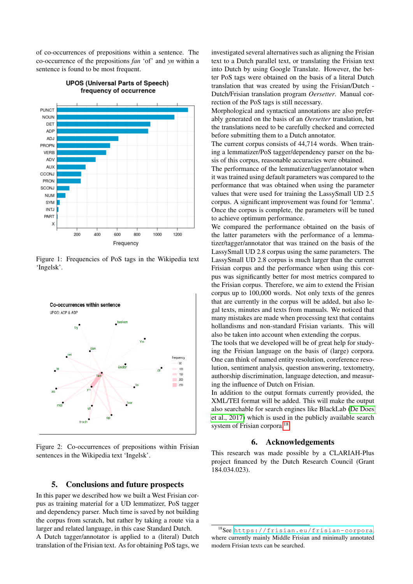of co-occurrences of prepositions within a sentence. The co-occurrence of the prepositions *fan* 'of' and *yn* within a sentence is found to be most frequent.



**UPOS (Universal Parts of Speech)** frequency of occurrence

<span id="page-4-1"></span>Figure 1: Frequencies of PoS tags in the Wikipedia text 'Ingelsk'.



<span id="page-4-2"></span>Figure 2: Co-occurrences of prepositions within Frisian sentences in the Wikipedia text 'Ingelsk'.

### 5. Conclusions and future prospects

<span id="page-4-0"></span>In this paper we described how we built a West Frisian corpus as training material for a UD lemmatizer, PoS tagger and dependency parser. Much time is saved by not building the corpus from scratch, but rather by taking a route via a larger and related language, in this case Standard Dutch. A Dutch tagger/annotator is applied to a (literal) Dutch translation of the Frisian text. As for obtaining PoS tags, we investigated several alternatives such as aligning the Frisian text to a Dutch parallel text, or translating the Frisian text into Dutch by using Google Translate. However, the better PoS tags were obtained on the basis of a literal Dutch translation that was created by using the Frisian/Dutch - Dutch/Frisian translation program *Oersetter*. Manual correction of the PoS tags is still necessary.

Morphological and syntactical annotations are also preferably generated on the basis of an *Oersetter* translation, but the translations need to be carefully checked and corrected before submitting them to a Dutch annotator.

The current corpus consists of 44,714 words. When training a lemmatizer/PoS tagger/dependency parser on the basis of this corpus, reasonable accuracies were obtained.

The performance of the lemmatizer/tagger/annotator when it was trained using default parameters was compared to the performance that was obtained when using the parameter values that were used for training the LassySmall UD 2.5 corpus. A significant improvement was found for 'lemma'. Once the corpus is complete, the parameters will be tuned to achieve optimum performance.

We compared the performance obtained on the basis of the latter parameters with the performance of a lemmatizer/tagger/annotator that was trained on the basis of the LassySmall UD 2.8 corpus using the same parameters. The LassySmall UD 2.8 corpus is much larger than the current Frisian corpus and the performance when using this corpus was significantly better for most metrics compared to the Frisian corpus. Therefore, we aim to extend the Frisian corpus up to 100,000 words. Not only texts of the genres that are currently in the corpus will be added, but also legal texts, minutes and texts from manuals. We noticed that many mistakes are made when processing text that contains hollandisms and non-standard Frisian variants. This will also be taken into account when extending the corpus.

The tools that we developed will be of great help for studying the Frisian language on the basis of (large) corpora. One can think of named entity resolution, coreference resolution, sentiment analysis, question answering, textometry, authorship discrimination, language detection, and measuring the influence of Dutch on Frisian.

In addition to the output formats currently provided, the XML/TEI format will be added. This will make the output also searchable for search engines like BlackLab [\(De Does](#page-5-15) [et al., 2017\)](#page-5-15) which is used in the publicly available search system of Frisian corpora.<sup>[18](#page-4-3)</sup>

### 6. Acknowledgements

This research was made possible by a CLARIAH-Plus project financed by the Dutch Research Council (Grant 184.034.023).

<span id="page-4-3"></span><sup>18</sup>See <https://frisian.eu/frisian-corpora>, where currently mainly Middle Frisian and minimally annotated modern Frisian texts can be searched.